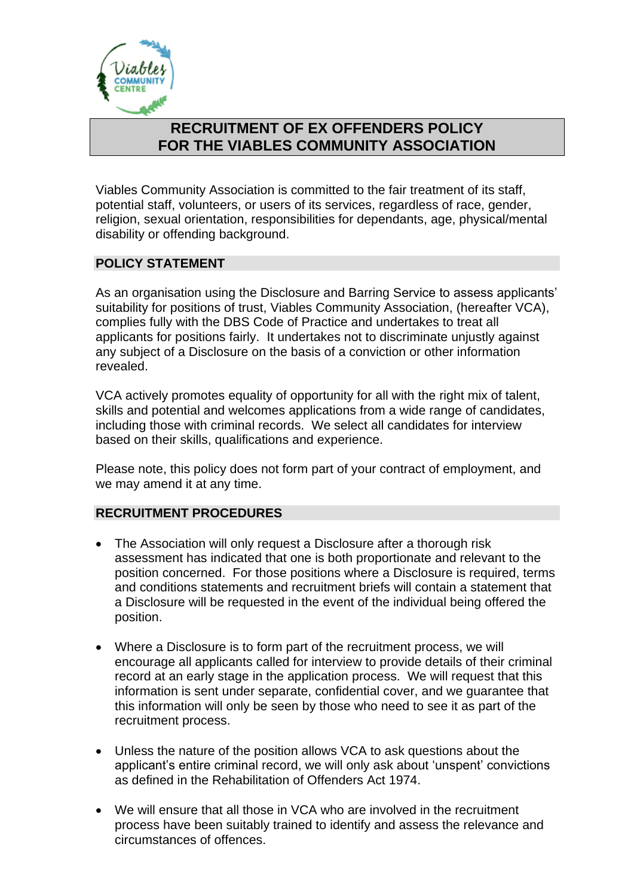

## **RECRUITMENT OF EX OFFENDERS POLICY FOR THE VIABLES COMMUNITY ASSOCIATION**

Viables Community Association is committed to the fair treatment of its staff, potential staff, volunteers, or users of its services, regardless of race, gender, religion, sexual orientation, responsibilities for dependants, age, physical/mental disability or offending background.

## **POLICY STATEMENT**

As an organisation using the Disclosure and Barring Service to assess applicants' suitability for positions of trust, Viables Community Association, (hereafter VCA), complies fully with the DBS Code of Practice and undertakes to treat all applicants for positions fairly. It undertakes not to discriminate unjustly against any subject of a Disclosure on the basis of a conviction or other information revealed.

VCA actively promotes equality of opportunity for all with the right mix of talent, skills and potential and welcomes applications from a wide range of candidates, including those with criminal records. We select all candidates for interview based on their skills, qualifications and experience.

Please note, this policy does not form part of your contract of employment, and we may amend it at any time.

## **RECRUITMENT PROCEDURES**

- The Association will only request a Disclosure after a thorough risk assessment has indicated that one is both proportionate and relevant to the position concerned. For those positions where a Disclosure is required, terms and conditions statements and recruitment briefs will contain a statement that a Disclosure will be requested in the event of the individual being offered the position.
- Where a Disclosure is to form part of the recruitment process, we will encourage all applicants called for interview to provide details of their criminal record at an early stage in the application process. We will request that this information is sent under separate, confidential cover, and we guarantee that this information will only be seen by those who need to see it as part of the recruitment process.
- Unless the nature of the position allows VCA to ask questions about the applicant's entire criminal record, we will only ask about 'unspent' convictions as defined in the Rehabilitation of Offenders Act 1974.
- We will ensure that all those in VCA who are involved in the recruitment process have been suitably trained to identify and assess the relevance and circumstances of offences.